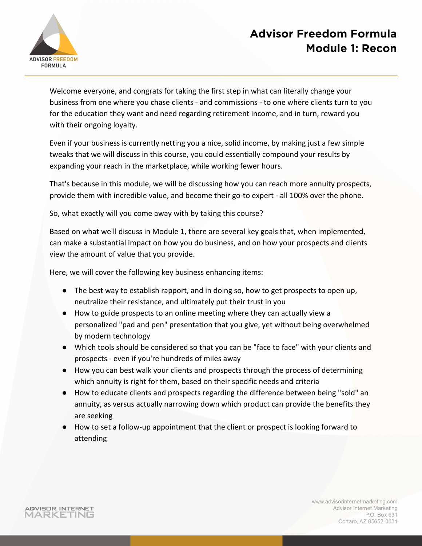

Welcome everyone, and congrats for taking the first step in what can literally change your business from one where you chase clients - and commissions - to one where clients turn to you for the education they want and need regarding retirement income, and in turn, reward you with their ongoing loyalty.

Even if your business is currently netting you a nice, solid income, by making just a few simple tweaks that we will discuss in this course, you could essentially compound your results by expanding your reach in the marketplace, while working fewer hours.

That's because in this module, we will be discussing how you can reach more annuity prospects, provide them with incredible value, and become their go-to expert - all 100% over the phone.

So, what exactly will you come away with by taking this course?

Based on what we'll discuss in Module 1, there are several key goals that, when implemented, can make a substantial impact on how you do business, and on how your prospects and clients view the amount of value that you provide.

Here, we will cover the following key business enhancing items:

- The best way to establish rapport, and in doing so, how to get prospects to open up, neutralize their resistance, and ultimately put their trust in you
- How to guide prospects to an online meeting where they can actually view a personalized "pad and pen" presentation that you give, yet without being overwhelmed by modern technology
- Which tools should be considered so that you can be "face to face" with your clients and prospects - even if you're hundreds of miles away
- How you can best walk your clients and prospects through the process of determining which annuity is right for them, based on their specific needs and criteria
- How to educate clients and prospects regarding the difference between being "sold" an annuity, as versus actually narrowing down which product can provide the benefits they are seeking
- How to set a follow-up appointment that the client or prospect is looking forward to attending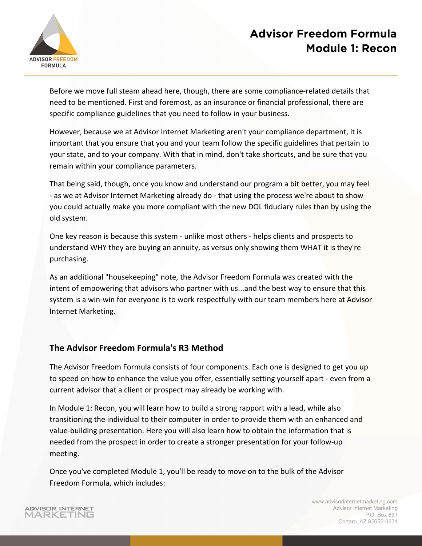

Before we move full steam ahead here, though, there are some compliance-related details that need to be mentioned. First and foremost, as an insurance or financial professional, there are specific compliance guidelines that you need to follow in your business.

However, because we at Advisor Internet Marketing aren't your compliance department, it is important that you ensure that you and your team follow the specific guidelines that pertain to your state, and to your company. With that in mind, don't take shortcuts, and be sure that you remain within your compliance parameters.

That being said, though, once you know and understand our program a bit better, you may feel - as we at Advisor Internet Marketing already do - that using the process we're about to show you could actually make you more compliant with the new DOL fiduciary rules than by using the old system.

One key reason is because this system - unlike most others - helps clients and prospects to understand WHY they are buying an annuity, as versus only showing them WHAT it is they're purchasing.

As an additional "housekeeping" note, the Advisor Freedom Formula was created with the intent of empowering that advisors who partner with us...and the best way to ensure that this system is a win-win for everyone is to work respectfully with our team members here at Advisor Internet Marketing.

#### **The Advisor Freedom Formula's R3 Method**

The Advisor Freedom Formula consists of four components. Each one is designed to get you up to speed on how to enhance the value you offer, essentially setting yourself apart - even from a current advisor that a client or prospect may already be working with.

In Module 1: Recon, you will learn how to build a strong rapport with a lead, while also transitioning the individual to their computer in order to provide them with an enhanced and value-building presentation. Here you will also learn how to obtain the information that is needed from the prospect in order to create a stronger presentation for your follow-up meeting.

Once you've completed Module 1, you'll be ready to move on to the bulk of the Advisor Freedom Formula, which includes:

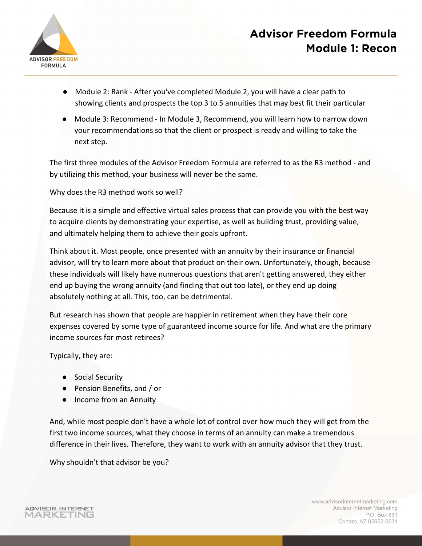

- Module 2: Rank After you've completed Module 2, you will have a clear path to showing clients and prospects the top 3 to 5 annuities that may best fit their particular
- Module 3: Recommend In Module 3, Recommend, you will learn how to narrow down your recommendations so that the client or prospect is ready and willing to take the next step.

The first three modules of the Advisor Freedom Formula are referred to as the R3 method - and by utilizing this method, your business will never be the same.

Why does the R3 method work so well?

Because it is a simple and effective virtual sales process that can provide you with the best way to acquire clients by demonstrating your expertise, as well as building trust, providing value, and ultimately helping them to achieve their goals upfront.

Think about it. Most people, once presented with an annuity by their insurance or financial advisor, will try to learn more about that product on their own. Unfortunately, though, because these individuals will likely have numerous questions that aren't getting answered, they either end up buying the wrong annuity (and finding that out too late), or they end up doing absolutely nothing at all. This, too, can be detrimental.

But research has shown that people are happier in retirement when they have their core expenses covered by some type of guaranteed income source for life. And what are the primary income sources for most retirees?

Typically, they are:

- Social Security
- Pension Benefits, and / or
- Income from an Annuity

And, while most people don't have a whole lot of control over how much they will get from the first two income sources, what they choose in terms of an annuity can make a tremendous difference in their lives. Therefore, they want to work with an annuity advisor that they trust.

Why shouldn't that advisor be you?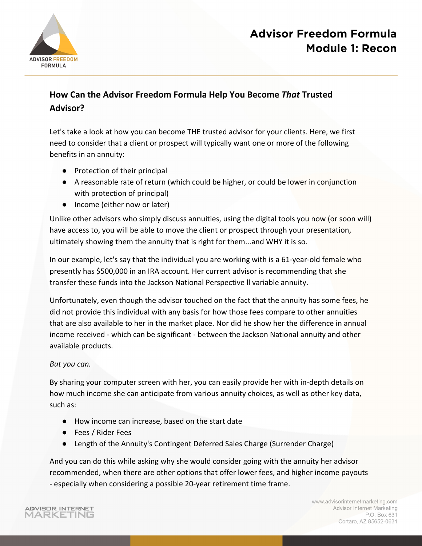

#### **How Can the Advisor Freedom Formula Help You Become** *That* **Trusted Advisor?**

Let's take a look at how you can become THE trusted advisor for your clients. Here, we first need to consider that a client or prospect will typically want one or more of the following benefits in an annuity:

- Protection of their principal
- A reasonable rate of return (which could be higher, or could be lower in conjunction with protection of principal)
- Income (either now or later)

Unlike other advisors who simply discuss annuities, using the digital tools you now (or soon will) have access to, you will be able to move the client or prospect through your presentation, ultimately showing them the annuity that is right for them...and WHY it is so.

In our example, let's say that the individual you are working with is a 61-year-old female who presently has \$500,000 in an IRA account. Her current advisor is recommending that she transfer these funds into the Jackson National Perspective ll variable annuity.

Unfortunately, even though the advisor touched on the fact that the annuity has some fees, he did not provide this individual with any basis for how those fees compare to other annuities that are also available to her in the market place. Nor did he show her the difference in annual income received - which can be significant - between the Jackson National annuity and other available products.

#### *But you can.*

By sharing your computer screen with her, you can easily provide her with in-depth details on how much income she can anticipate from various annuity choices, as well as other key data, such as:

- How income can increase, based on the start date
- Fees / Rider Fees
- Length of the Annuity's Contingent Deferred Sales Charge (Surrender Charge)

And you can do this while asking why she would consider going with the annuity her advisor recommended, when there are other options that offer lower fees, and higher income payouts - especially when considering a possible 20-year retirement time frame.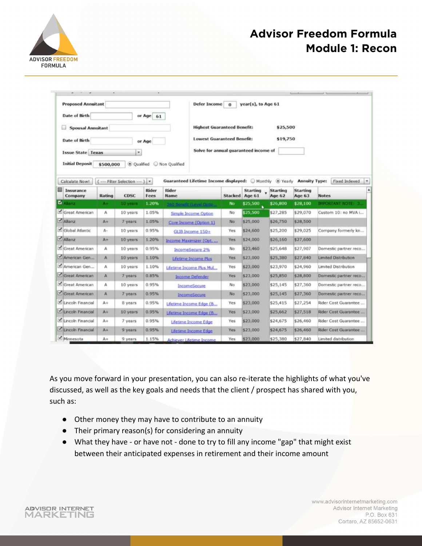

| <b>Proposed Annuitant</b>                        | <b>Defer Income</b> | $\Omega$                 | year(s), to Age 61 |                                                        |                                               |                    |                    |                           |                             |
|--------------------------------------------------|---------------------|--------------------------|--------------------|--------------------------------------------------------|-----------------------------------------------|--------------------|--------------------|---------------------------|-----------------------------|
| <b>Date of Birth</b>                             |                     |                          | or Age 61          |                                                        |                                               |                    |                    |                           |                             |
| <b>Spousal Annuitant</b>                         |                     |                          |                    | <b>Highest Guaranteed Benefit:</b><br>\$25,500         |                                               |                    |                    |                           |                             |
| <b>Date of Birth</b><br><b>Issue State Texas</b> |                     |                          | or Age             |                                                        | <b>Lowest Guaranteed Benefit:</b><br>\$19,750 |                    |                    |                           |                             |
|                                                  |                     |                          |                    |                                                        | Solve for annual quaranteed income of         |                    |                    |                           |                             |
|                                                  |                     | ۰                        |                    |                                                        |                                               |                    |                    |                           |                             |
| <b>Initial Deposit</b>                           | \$500,000           | C Qualified              |                    | Non Qualified                                          |                                               |                    |                    |                           |                             |
| Calculate Now!                                   |                     | (  Filter Selection  ) . |                    | Guaranteed Lifetime Income displayed: Monthly @ Yearly |                                               |                    |                    | <b>Annuity Type:</b>      | Fixed Indexed<br>۰          |
| ⊟<br>Insurance<br>Company                        | Rating              | <b>CDSC</b>              | Rider<br>Fees      | Rider<br>Name                                          | <b>Stacked</b>                                | Starting<br>Age 61 | Starting<br>Age 62 | <b>Starting</b><br>Age 63 | <b>Notes</b>                |
| <b>N</b> Alonz                                   | $A +$               | 10 years                 | 1.20%              | <b>LAC ROOM &amp; COVE CONO.</b>                       | No                                            | \$25,500           | \$26,800           | \$28,100                  | IMPORTANT NOTE: 3.          |
| Great American                                   | Α                   | 10 years                 | 1.05%              | Simple Income Option                                   | No                                            | \$25,500           | \$27,285           | \$29,070                  | Custom 10: no MVA i         |
| Alianz                                           | $A +$               | 7 years                  | 1.05%              | Core Income (Option 1)                                 | No.                                           | \$25,000           | \$26,750           | \$28,500                  |                             |
| Global Atlantic                                  | A-                  | 10 years                 | 0.95%              | GLIB Income 150+                                       | Yes                                           | \$24,600           | \$25,200           | \$29,025                  | Company formerly kn         |
| Ahanz                                            | A+                  | 10 years                 | 1.20%              | Income Maximizer (Opt.                                 | Yes                                           | \$24,000           | \$26,160           | \$27,600                  |                             |
| Great American                                   | A                   | 10 years                 | 0.95%              | IncomeSecure 2%                                        | No                                            | \$23,460           | \$25,648           | \$27,907                  | Domestic partner reco       |
| American Gen                                     | A                   | 10 years                 | 1.10%              | Lifetime Income Plus                                   | Yes                                           | \$23,000           | \$25,380           | \$27,840                  | <b>Limited Distribution</b> |
| American Gen                                     | А                   | 10 years                 | 1.10%              | Lifetime Income Plus Mul                               | Yes                                           | \$23,000           | \$23,970           | \$24,960                  | Limited Distribution        |
| Great American                                   | A                   | 7 years.                 | 0.85%              | <b>Income Defender</b>                                 | Yes                                           | \$23,000           | \$25,850           | \$28,800                  | Domestic partner reco       |
| Great American                                   | A                   | 10 years                 | 0.95%              | IncomeSecure                                           | No                                            | \$23,000           | \$25,145           | \$27,360                  | Domestic partner reco       |
| Great American                                   | A                   | 7 years                  | 0.95%              | IncomeSecure                                           | N <sub>o</sub>                                | \$23,000           | \$25,145           | \$27,360                  | Domestic partner reco       |
| Lincoln Financial                                | A÷                  | B years                  | 0.95%              | Lifetime Income Edge (B.,                              | Yes                                           | \$23,000           | \$25,415           | \$27,254                  | Rider Cost Guarantee        |
| Lincoln Financial                                | $A+$                | 10 years                 | 0.95%              | Lifetime Income Edge (B.,                              | Yes                                           | \$23,000           | \$25,662           | \$27,518                  | Rider Cost Guarantee        |
| Lincoln Financial                                | $A+$                | 7 years                  | 0.95%              | Lifetime Income Edge                                   | Yes                                           | \$23,000           | \$24,675           | \$26,460                  | Rider Cost Guarantee        |
| Lincoln Financial                                | A+                  | 9 years                  | 0.95%              | Lifetime Income Edge                                   | <b>Yes</b>                                    | \$23,000           | \$24,675           | \$26,460                  | Rider Cost Guarantee        |
| Minnesota                                        | A+                  | 9 years                  | 1.15%              | Achiever Lifetime Income                               | Yes                                           | \$23,000           | \$25,380           | \$27,840                  | Limited distribution        |

As you move forward in your presentation, you can also re-iterate the highlights of what you've discussed, as well as the key goals and needs that the client / prospect has shared with you, such as:

- Other money they may have to contribute to an annuity
- Their primary reason(s) for considering an annuity
- What they have or have not done to try to fill any income "gap" that might exist between their anticipated expenses in retirement and their income amount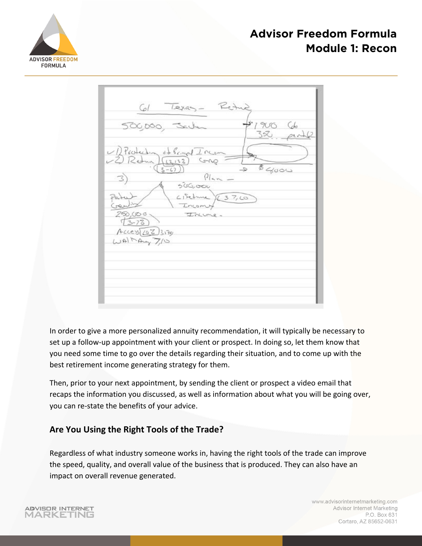



In order to give a more personalized annuity recommendation, it will typically be necessary to set up a follow-up appointment with your client or prospect. In doing so, let them know that you need some time to go over the details regarding their situation, and to come up with the best retirement income generating strategy for them.

Then, prior to your next appointment, by sending the client or prospect a video email that recaps the information you discussed, as well as information about what you will be going over, you can re-state the benefits of your advice.

#### **Are You Using the Right Tools of the Trade?**

Regardless of what industry someone works in, having the right tools of the trade can improve the speed, quality, and overall value of the business that is produced. They can also have an impact on overall revenue generated.

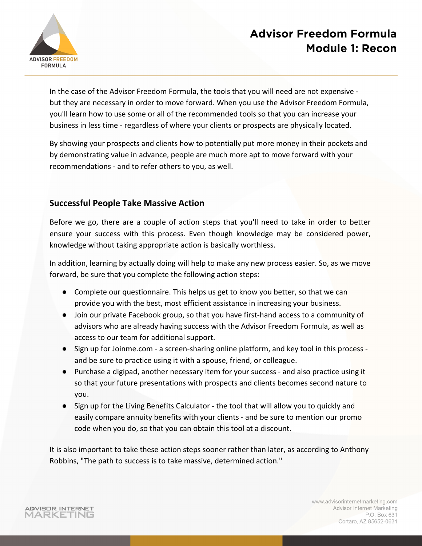

In the case of the Advisor Freedom Formula, the tools that you will need are not expensive but they are necessary in order to move forward. When you use the Advisor Freedom Formula, you'll learn how to use some or all of the recommended tools so that you can increase your business in less time - regardless of where your clients or prospects are physically located.

By showing your prospects and clients how to potentially put more money in their pockets and by demonstrating value in advance, people are much more apt to move forward with your recommendations - and to refer others to you, as well.

#### **Successful People Take Massive Action**

Before we go, there are a couple of action steps that you'll need to take in order to better ensure your success with this process. Even though knowledge may be considered power, knowledge without taking appropriate action is basically worthless.

In addition, learning by actually doing will help to make any new process easier. So, as we move forward, be sure that you complete the following action steps:

- Complete our questionnaire. This helps us get to know you better, so that we can provide you with the best, most efficient assistance in increasing your business.
- Join our private Facebook group, so that you have first-hand access to a community of advisors who are already having success with the Advisor Freedom Formula, as well as access to our team for additional support.
- Sign up for Joinme.com a screen-sharing online platform, and key tool in this process and be sure to practice using it with a spouse, friend, or colleague.
- Purchase a digipad, another necessary item for your success and also practice using it so that your future presentations with prospects and clients becomes second nature to you.
- Sign up for the Living Benefits Calculator the tool that will allow you to quickly and easily compare annuity benefits with your clients - and be sure to mention our promo code when you do, so that you can obtain this tool at a discount.

It is also important to take these action steps sooner rather than later, as according to Anthony Robbins, "The path to success is to take massive, determined action."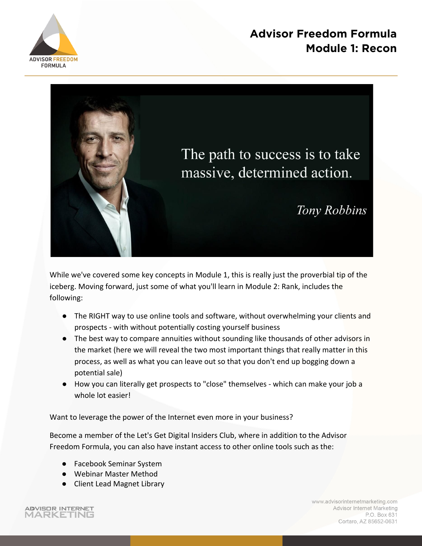



While we've covered some key concepts in Module 1, this is really just the proverbial tip of the iceberg. Moving forward, just some of what you'll learn in Module 2: Rank, includes the following:

- The RIGHT way to use online tools and software, without overwhelming your clients and prospects - with without potentially costing yourself business
- The best way to compare annuities without sounding like thousands of other advisors in the market (here we will reveal the two most important things that really matter in this process, as well as what you can leave out so that you don't end up bogging down a potential sale)
- How you can literally get prospects to "close" themselves which can make your job a whole lot easier!

Want to leverage the power of the Internet even more in your business?

Become a member of the Let's Get Digital Insiders Club, where in addition to the Advisor Freedom Formula, you can also have instant access to other online tools such as the:

- Facebook Seminar System
- Webinar Master Method
- Client Lead Magnet Library

ADVISOR INTERNET MARKETING www.advisorinternetmarketing.com Advisor Internet Marketing P.O. Box 631 Cortaro, AZ 85652-0631